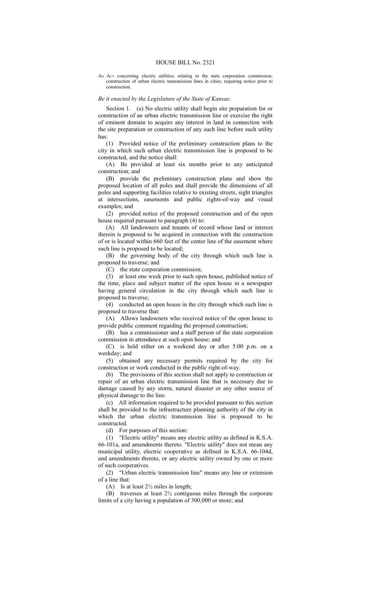## HOUSE BILL No. 2321

AN Act concerning electric utilities; relating to the state corporation commission; construction of urban electric transmission lines in cities; requiring notice prior to construction.

## *Be it enacted by the Legislature of the State of Kansas:*

Section 1. (a) No electric utility shall begin site preparation for or construction of an urban electric transmission line or exercise the right of eminent domain to acquire any interest in land in connection with the site preparation or construction of any such line before such utility has:

(1) Provided notice of the preliminary construction plans to the city in which such urban electric transmission line is proposed to be constructed, and the notice shall:

(A) Be provided at least six months prior to any anticipated construction; and

(B) provide the preliminary construction plans and show the proposed location of all poles and shall provide the dimensions of all poles and supporting facilities relative to existing streets, sight triangles at intersections, easements and public rights-of-way and visual examples; and

(2) provided notice of the proposed construction and of the open house required pursuant to paragraph (4) to:

(A) All landowners and tenants of record whose land or interest therein is proposed to be acquired in connection with the construction of or is located within 660 feet of the center line of the easement where such line is proposed to be located;

(B) the governing body of the city through which such line is proposed to traverse; and

(C) the state corporation commission;

(3) at least one week prior to such open house, published notice of the time, place and subject matter of the open house in a newspaper having general circulation in the city through which such line is proposed to traverse;

(4) conducted an open house in the city through which such line is proposed to traverse that:

(A) Allows landowners who received notice of the open house to provide public comment regarding the proposed construction;

(B) has a commissioner and a staff person of the state corporation commission in attendance at such open house; and

(C) is held either on a weekend day or after 5:00 p.m. on a weekday; and

(5) obtained any necessary permits required by the city for construction or work conducted in the public right-of-way.

(b) The provisions of this section shall not apply to construction or repair of an urban electric transmission line that is necessary due to damage caused by any storm, natural disaster or any other source of physical damage to the line.

(c) All information required to be provided pursuant to this section shall be provided to the infrastructure planning authority of the city in which the urban electric transmission line is proposed to be constructed.

(d) For purposes of this section:

(1) "Electric utility" means any electric utility as defined in K.S.A. 66-101a, and amendments thereto. "Electric utility" does not mean any municipal utility, electric cooperative as defined in K.S.A. 66-104d, and amendments thereto, or any electric utility owned by one or more of such cooperatives.

(2) "Urban electric transmission line" means any line or extension of a line that:

(A) Is at least  $2\frac{1}{2}$  miles in length;

(B) traverses at least 2½ contiguous miles through the corporate limits of a city having a population of 300,000 or more; and